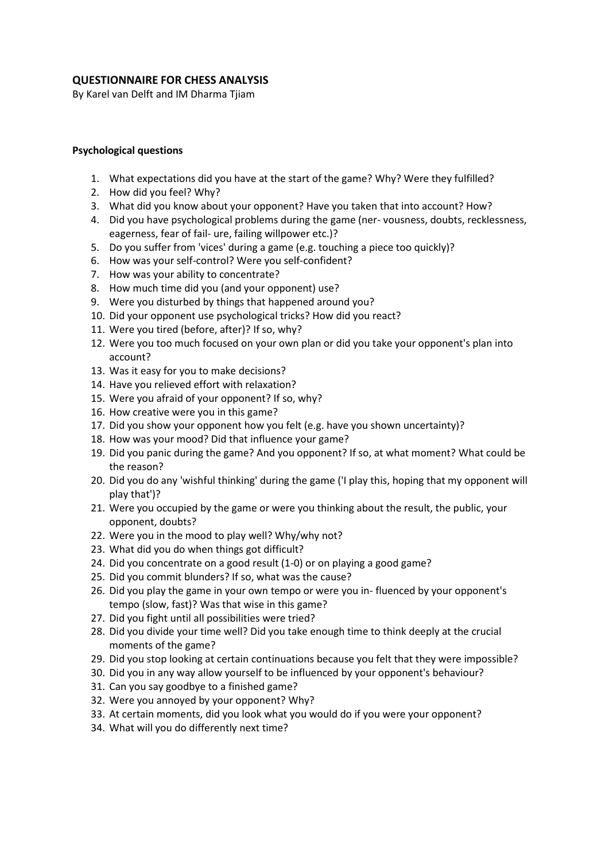# **QUESTIONNAIRE FOR CHESS ANALYSIS**

By Karel van Delft and IM Dharma Tjiam

## **Psychological questions**

- 1. What expectations did you have at the start of the game? Why? Were they fulfilled?
- 2. How did you feel? Why?
- 3. What did you know about your opponent? Have you taken that into account? How?
- 4. Did you have psychological problems during the game (ner- vousness, doubts, recklessness, eagerness, fear of fail- ure, failing willpower etc.)?
- 5. Do you suffer from 'vices' during a game (e.g. touching a piece too quickly)?
- 6. How was your self-control? Were you self-confident?
- 7. How was your ability to concentrate?
- 8. How much time did you (and your opponent) use?
- 9. Were you disturbed by things that happened around you?
- 10. Did your opponent use psychological tricks? How did you react?
- 11. Were you tired (before, after)? If so, why?
- 12. Were you too much focused on your own plan or did you take your opponent's plan into account?
- 13. Was it easy for you to make decisions?
- 14. Have you relieved effort with relaxation?
- 15. Were you afraid of your opponent? If so, why?
- 16. How creative were you in this game?
- 17. Did you show your opponent how you felt (e.g. have you shown uncertainty)?
- 18. How was your mood? Did that influence your game?
- 19. Did you panic during the game? And you opponent? If so, at what moment? What could be the reason?
- 20. Did you do any 'wishful thinking' during the game ('I play this, hoping that my opponent will play that')?
- 21. Were you occupied by the game or were you thinking about the result, the public, your opponent, doubts?
- 22. Were you in the mood to play well? Why/why not?
- 23. What did you do when things got difficult?
- 24. Did you concentrate on a good result (1-0) or on playing a good game?
- 25. Did you commit blunders? If so, what was the cause?
- 26. Did you play the game in your own tempo or were you in- fluenced by your opponent's tempo (slow, fast)? Was that wise in this game?
- 27. Did you fight until all possibilities were tried?
- 28. Did you divide your time well? Did you take enough time to think deeply at the crucial moments of the game?
- 29. Did you stop looking at certain continuations because you felt that they were impossible?
- 30. Did you in any way allow yourself to be influenced by your opponent's behaviour?
- 31. Can you say goodbye to a finished game?
- 32. Were you annoyed by your opponent? Why?
- 33. At certain moments, did you look what you would do if you were your opponent?
- 34. What will you do differently next time?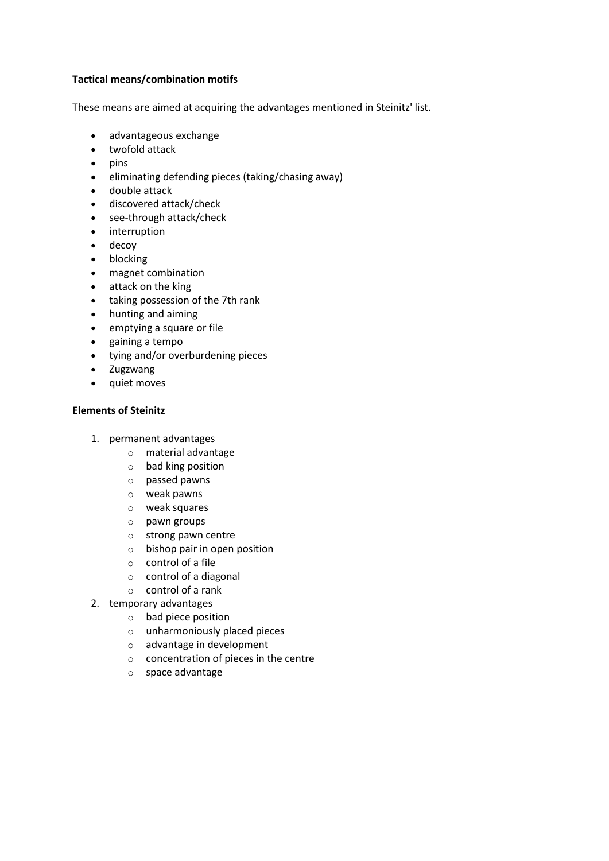#### **Tactical means/combination motifs**

These means are aimed at acquiring the advantages mentioned in Steinitz' list.

- advantageous exchange
- twofold attack
- $\bullet$  pins
- eliminating defending pieces (taking/chasing away)
- double attack
- discovered attack/check
- see-through attack/check
- interruption
- decoy
- blocking
- magnet combination
- attack on the king
- taking possession of the 7th rank
- hunting and aiming
- emptying a square or file
- gaining a tempo
- tying and/or overburdening pieces
- Zugzwang
- quiet moves

#### **Elements of Steinitz**

- 1. permanent advantages
	- o material advantage
	- o bad king position
	- o passed pawns
	- o weak pawns
	- o weak squares
	- o pawn groups
	- o strong pawn centre
	- o bishop pair in open position
	- o control of a file
	- o control of a diagonal
	- o control of a rank
- 2. temporary advantages
	- o bad piece position
	- o unharmoniously placed pieces
	- o advantage in development
	- o concentration of pieces in the centre
	- o space advantage